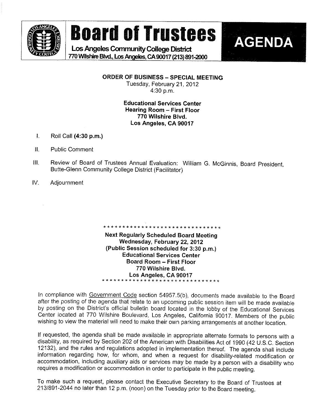

# **Board of Trustees**

Los Angeles Community College District 770 Wilshire Blvd., Los Angeles, CA 90017 (213) 891-2000



ORDER OF BUSINESS - SPECIAL MEETING Tuesday, February 21, 2012  $4:30$  p.m.

#### **Educational Services Center Hearing Room - First Floor** 770 Wilshire Blvd. Los Angeles, CA 90017

- $\mathbf{L}$ Roll Call (4:30 p.m.)
- $\Pi$ . **Public Comment**
- Review of Board of Trustees Annual Evaluation: William G. McGinnis, Board President.  $III.$ Butte-Glenn Community College District (Facilitator)
- IV. Adjournment

**Next Regularly Scheduled Board Meeting** Wednesday, February 22, 2012 (Public Session scheduled for 3:30 p.m.) **Educational Services Center Board Room - First Floor** 770 Wilshire Blvd. Los Angeles, CA 90017 \* \* \* \* \* \* \*

In compliance with Government Code section 54957.5(b), documents made available to the Board after the posting of the agenda that relate to an upcoming public session item will be made available by posting on the District's official bulletin board located in the lobby of the Educational Services Center located at 770 Wilshire Boulevard, Los Angeles, California 90017. Members of the public wishing to view the material will need to make their own parking arrangements at another location.

If requested, the agenda shall be made available in appropriate alternate formats to persons with a disability, as required by Section 202 of the American with Disabilities Act of 1990 (42 U.S.C. Section 12132), and the rules and regulations adopted in implementation thereof. The agenda shall include information regarding how, for whom, and when a request for disability-related modification or accommodation, including auxiliary aids or services may be made by a person with a disability who requires a modification or accommodation in order to participate in the public meeting.

To make such a request, please contact the Executive Secretary to the Board of Trustees at 213/891-2044 no later than 12 p.m. (noon) on the Tuesday prior to the Board meeting.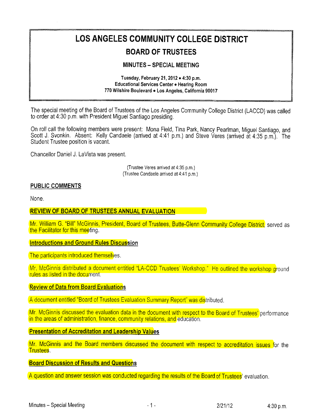## LOS ANGELES COMMUNITY COLLEGE DISTRICT

### BOARD OF TRUSTEES

#### MINUTES - SPECIAL MEETING

#### Tuesday, February 21, 2012 . 4:30 p.m. Educational Services Center . Hearing Room 770 Wilshire Boulevard . Los Angeles, California 90017

The special meeting of the Board of Trustees of the Los Angeles Community College District (LACCD) was called to order at 4:30 p.m, with President Miguel Santiago presiding.

On roll call the following members were present: Mona Field, Tina Park, Nancy Pearlman, Miguel Santiago, and Scott J. Svonkin. Absent: Kelly Candaele (arrived at 4:41 p.m.) and Steve Veres (arrived at 4:35 p.m.). The Student Trustee position is vacant.

Chancellor Daniel J, LaVista was present.

(Trustee Veres arrived at 4:35 p.m, (Trustee Candaele arrived at 4:41 p.m.

#### PUBLIC COMMENTS

None.

#### REVIEW OF BOARD OF TRUSTEES ANNUAL EVALUATION

Mr. William G. "Bill" McGinnis, President, Board of Trustees, Butte-Glenn Community College District, served as the Facilitator for this meeting.

#### **Introductions and Ground Rules Discussion**

The participants introduced themselves,

Mr. McGinnis distributed a document entitled "LA-CCD Trustees' Workshop." He outlined the workshop ground rules as listed in the document.

#### Review of Data from Board Evaluations

A document entitled "Board of Trustees Evaluation Summary Report" was distributed.

Mr. McGinnis discussed the evaluation data in the document with respect to the Board of Trustees' performance in the areas of administration, finance, community relations, and education,

#### Presentation of Accreditation and Leadership Values

Mr. McGinnis and the Board members discussed the document with respect to accreditation issues for the Trustees.

#### **Board Discussion of Results and Questions**

A question and answer session was conducted regarding the results of the Board of Trustees' evaluation.